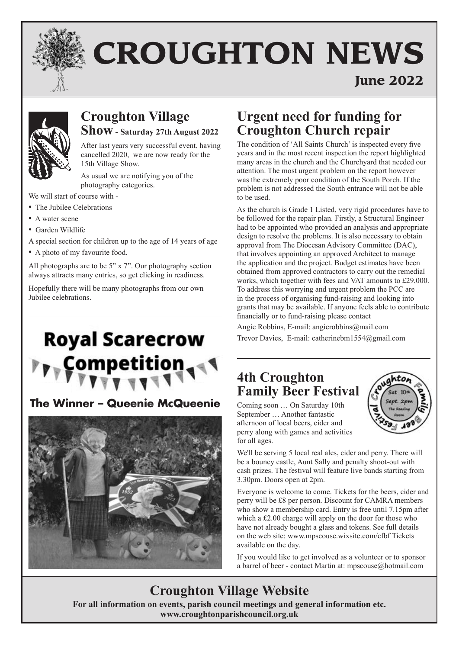

# **CROUGHTON NEWS**

## **June 2022**



## **Croughton Village Show - Saturday 27th August 2022**

After last years very successful event, having cancelled 2020, we are now ready for the 15th Village Show.

As usual we are notifying you of the photography categories.

We will start of course with -

- The Jubilee Celebrations
- A water scene
- Garden Wildlife
- A special section for children up to the age of 14 years of age
- A photo of my favourite food.

All photographs are to be 5" x 7". Our photography section always attracts many entries, so get clicking in readiness.

Hopefully there will be many photographs from our own Jubilee celebrations.

## **Royal Scarecrow** Competiti

## **The Winner – Queenie McQueenie**



## **Urgent need for funding for Croughton Church repair**

The condition of 'All Saints Church' is inspected every five years and in the most recent inspection the report highlighted many areas in the church and the Churchyard that needed our attention. The most urgent problem on the report however was the extremely poor condition of the South Porch. If the problem is not addressed the South entrance will not be able to be used.

As the church is Grade 1 Listed, very rigid procedures have to be followed for the repair plan. Firstly, a Structural Engineer had to be appointed who provided an analysis and appropriate design to resolve the problems. It is also necessary to obtain approval from The Diocesan Advisory Committee (DAC), that involves appointing an approved Architect to manage the application and the project. Budget estimates have been obtained from approved contractors to carry out the remedial works, which together with fees and VAT amounts to £29,000. To address this worrying and urgent problem the PCC are in the process of organising fund-raising and looking into grants that may be available. If anyone feels able to contribute financially or to fund-raising please contact

Angie Robbins, E-mail: angierobbins@mail.com Trevor Davies, E-mail: catherinebm1554@gmail.com

## **4th Croughton Family Beer Festival**

Coming soon … On Saturday 10th September … Another fantastic afternoon of local beers, cider and perry along with games and activities for all ages.



We'll be serving 5 local real ales, cider and perry. There will be a bouncy castle, Aunt Sally and penalty shoot-out with cash prizes. The festival will feature live bands starting from 3.30pm. Doors open at 2pm.

Everyone is welcome to come. Tickets for the beers, cider and perry will be £8 per person. Discount for CAMRA members who show a membership card. Entry is free until 7.15pm after which a £2.00 charge will apply on the door for those who have not already bought a glass and tokens. See full details on the web site: www.mpscouse.wixsite.com/cfbf Tickets available on the day.

If you would like to get involved as a volunteer or to sponsor a barrel of beer - contact Martin at: mpscouse@hotmail.com

## **Croughton Village Website**

**For all information on events, parish council meetings and general information etc. www.croughtonparishcouncil.org.uk**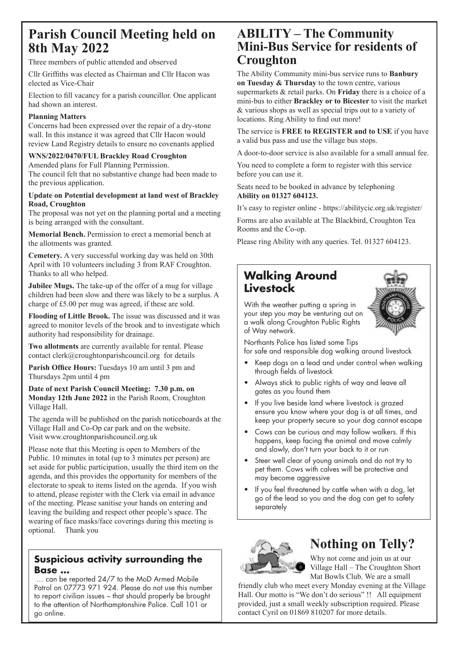## **Parish Council Meeting held on 8th May 2022**

Three members of public attended and observed

Cllr Griffiths was elected as Chairman and Cllr Hacon was elected as Vice-Chair

Election to fill vacancy for a parish councillor. One applicant had shown an interest.

#### **Planning Matters**

Concerns had been expressed over the repair of a dry-stone wall. In this instance it was agreed that Cllr Hacon would review Land Registry details to ensure no covenants applied

#### **WNS/2022/0470/FUL Brackley Road Croughton**

Amended plans for Full Planning Permission.

The council felt that no substantive change had been made to the previous application.

#### **Update on Potential development at land west of Brackley Road, Croughton**

The proposal was not yet on the planning portal and a meeting is being arranged with the consultant.

**Memorial Bench.** Permission to erect a memorial bench at the allotments was granted.

**Cemetery.** A very successful working day was held on 30th April with 10 volunteers including 3 from RAF Croughton. Thanks to all who helped.

**Jubilee Mugs.** The take-up of the offer of a mug for village children had been slow and there was likely to be a surplus. A charge of £5.00 per mug was agreed, if these are sold.

**Flooding of Little Brook.** The issue was discussed and it was agreed to monitor levels of the brook and to investigate which authority had responsibility for drainage.

**Two allotments** are currently available for rental. Please contact clerk@croughtonparishcouncil.org for details

Parish Office Hours: Tuesdays 10 am until 3 pm and Thursdays 2pm until 4 pm

**Date of next Parish Council Meeting: 7.30 p.m. on Monday 12th June 2022** in the Parish Room, Croughton Village Hall.

The agenda will be published on the parish noticeboards at the Village Hall and Co-Op car park and on the website. Visit www.croughtonparishcouncil.org.uk

Please note that this Meeting is open to Members of the Public. 10 minutes in total (up to 3 minutes per person) are set aside for public participation, usually the third item on the agenda, and this provides the opportunity for members of the electorate to speak to items listed on the agenda. If you wish to attend, please register with the Clerk via email in advance of the meeting. Please sanitise your hands on entering and leaving the building and respect other people's space. The wearing of face masks/face coverings during this meeting is optional. Thank you

#### **Suspicious activity surrounding the Base …**

 … can be reported 24/7 to the MoD Armed Mobile Patrol on 07773 971 924. Please do not use this number to report civilian issues – that should properly be brought to the attention of Northamptonshire Police. Call 101 or go online.

## **ABILITY – The Community Mini-Bus Service for residents of Croughton**

The Ability Community mini-bus service runs to **Banbury on Tuesday & Thursday** to the town centre, various supermarkets & retail parks. On **Friday** there is a choice of a mini-bus to either **Brackley or to Bicester** to visit the market & various shops as well as special trips out to a variety of locations. Ring Ability to find out more!

The service is **FREE to REGISTER and to USE** if you have a valid bus pass and use the village bus stops.

A door-to-door service is also available for a small annual fee.

You need to complete a form to register with this service before you can use it.

Seats need to be booked in advance by telephoning **Ability on 01327 604123.** 

It's easy to register online - https://abilitycic.org.uk/register/

Forms are also available at The Blackbird, Croughton Tea Rooms and the Co-op.

Please ring Ability with any queries. Tel. 01327 604123.

#### **Walking Around Livestock**



With the weather putting a spring in your step you may be venturing out on a walk along Croughton Public Rights of Way network.

Northants Police has listed some Tips for safe and responsible dog walking around livestock

- Keep dogs on a lead and under control when walking through fields of livestock
- Always stick to public rights of way and leave all gates as you found them
- If you live beside land where livestock is grazed ensure you know where your dog is at all times, and keep your property secure so your dog cannot escape
- Cows can be curious and may follow walkers. If this happens, keep facing the animal and move calmly and slowly, don't turn your back to it or run
- Steer well clear of young animals and do not try to pet them. Cows with calves will be protective and may become aggressive
- If you feel threatened by cattle when with a dog, let go of the lead so you and the dog can get to safety separately



## **Nothing on Telly?**

Why not come and join us at our Village Hall – The Croughton Short Mat Bowls Club. We are a small

friendly club who meet every Monday evening at the Village Hall. Our motto is "We don't do serious" !! All equipment provided, just a small weekly subscription required. Please contact Cyril on 01869 810207 for more details.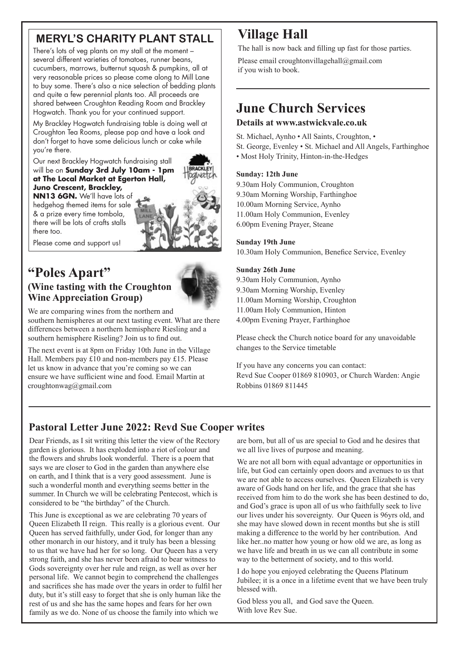## **MERYL'S CHARITY PLANT STALL**

There's lots of veg plants on my stall at the moment – several different varieties of tomatoes, runner beans, cucumbers, marrows, butternut squash & pumpkins, all at very reasonable prices so please come along to Mill Lane to buy some. There's also a nice selection of bedding plants and quite a few perennial plants too. All proceeds are shared between Croughton Reading Room and Brackley Hogwatch. Thank you for your continued support.

My Brackley Hogwatch fundraising table is doing well at Croughton Tea Rooms, please pop and have a look and don't forget to have some delicious lunch or cake while you're there.

Our next Brackley Hogwatch fundraising stall will be on **Sunday 3rd July 10am - 1pm at The Local Market at Egerton Hall, Juno Crescent, Brackley,** 

**NN13 6GN.** We'll have lots of hedgehog themed items for sale & a prize every time tombola, there will be lots of crafts stalls there too.

Please come and support us!

## **"Poles Apart" (Wine tasting with the Croughton**

**Wine Appreciation Group)**



We are comparing wines from the northern and

southern hemispheres at our next tasting event. What are there differences between a northern hemisphere Riesling and a southern hemisphere Riseling? Join us to find out.

The next event is at 8pm on Friday 10th June in the Village Hall. Members pay £10 and non-members pay £15. Please let us know in advance that you're coming so we can ensure we have sufficient wine and food. Email Martin at croughtonwag@gmail.com

## **Village Hall**

The hall is now back and filling up fast for those parties.

Please email croughtonvillagehall@gmail.com if you wish to book.

## **June Church Services**

#### **Details at www.astwickvale.co.uk**

St. Michael, Aynho • All Saints, Croughton, • St. George, Evenley • St. Michael and All Angels, Farthinghoe • Most Holy Trinity, Hinton-in-the-Hedges

#### **Sunday: 12th June**

9.30am Holy Communion, Croughton 9.30am Morning Worship, Farthinghoe 10.00am Morning Service, Aynho 11.00am Holy Communion, Evenley 6.00pm Evening Prayer, Steane

#### **Sunday 19th June**

10.30am Holy Communion, Benefice Service, Evenley

#### **Sunday 26th June**

9.30am Holy Communion, Aynho 9.30am Morning Worship, Evenley 11.00am Morning Worship, Croughton 11.00am Holy Communion, Hinton 4.00pm Evening Prayer, Farthinghoe

Please check the Church notice board for any unavoidable changes to the Service timetable

If you have any concerns you can contact: Revd Sue Cooper 01869 810903, or Church Warden: Angie Robbins 01869 811445

#### **Pastoral Letter June 2022: Revd Sue Cooper writes**

Dear Friends, as I sit writing this letter the view of the Rectory garden is glorious. It has exploded into a riot of colour and the flowers and shrubs look wonderful. There is a poem that says we are closer to God in the garden than anywhere else on earth, and I think that is a very good assessment. June is such a wonderful month and everything seems better in the summer. In Church we will be celebrating Pentecost, which is considered to be "the birthday" of the Church.

This June is exceptional as we are celebrating 70 years of Queen Elizabeth II reign. This really is a glorious event. Our Queen has served faithfully, under God, for longer than any other monarch in our history, and it truly has been a blessing to us that we have had her for so long. Our Queen has a very strong faith, and she has never been afraid to bear witness to Gods sovereignty over her rule and reign, as well as over her personal life. We cannot begin to comprehend the challenges and sacrifices she has made over the years in order to fulfil her duty, but it's still easy to forget that she is only human like the rest of us and she has the same hopes and fears for her own family as we do. None of us choose the family into which we

are born, but all of us are special to God and he desires that we all live lives of purpose and meaning.

We are not all born with equal advantage or opportunities in life, but God can certainly open doors and avenues to us that we are not able to access ourselves. Queen Elizabeth is very aware of Gods hand on her life, and the grace that she has received from him to do the work she has been destined to do, and God's grace is upon all of us who faithfully seek to live our lives under his sovereignty. Our Queen is 96yrs old, and she may have slowed down in recent months but she is still making a difference to the world by her contribution. And like her..no matter how young or how old we are, as long as we have life and breath in us we can all contribute in some way to the betterment of society, and to this world.

I do hope you enjoyed celebrating the Queens Platinum Jubilee; it is a once in a lifetime event that we have been truly blessed with.

God bless you all, and God save the Queen. With love Rev Sue.